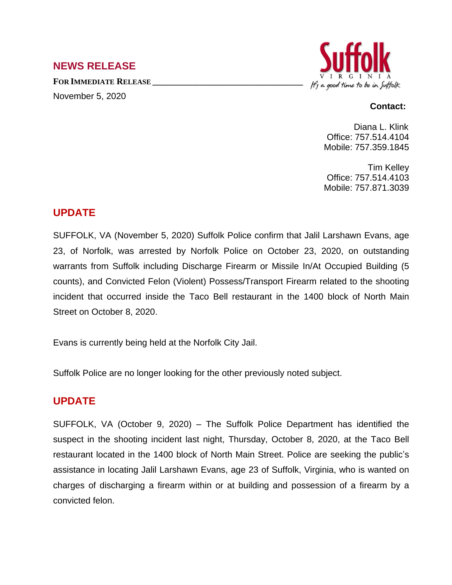### **NEWS RELEASE**

**FOR IMMEDIATE RELEASE \_\_\_\_\_\_\_\_\_\_\_\_\_\_\_\_\_\_\_\_\_\_\_\_\_\_\_\_\_\_\_\_\_\_** November 5, 2020



#### **Contact:**

Diana L. Klink Office: 757.514.4104 Mobile: 757.359.1845

Tim Kelley Office: 757.514.4103 Mobile: 757.871.3039

## **UPDATE**

SUFFOLK, VA (November 5, 2020) Suffolk Police confirm that Jalil Larshawn Evans, age 23, of Norfolk, was arrested by Norfolk Police on October 23, 2020, on outstanding warrants from Suffolk including Discharge Firearm or Missile In/At Occupied Building (5 counts), and Convicted Felon (Violent) Possess/Transport Firearm related to the shooting incident that occurred inside the Taco Bell restaurant in the 1400 block of North Main Street on October 8, 2020.

Evans is currently being held at the Norfolk City Jail.

Suffolk Police are no longer looking for the other previously noted subject.

# **UPDATE**

SUFFOLK, VA (October 9, 2020) – The Suffolk Police Department has identified the suspect in the shooting incident last night, Thursday, October 8, 2020, at the Taco Bell restaurant located in the 1400 block of North Main Street. Police are seeking the public's assistance in locating Jalil Larshawn Evans, age 23 of Suffolk, Virginia, who is wanted on charges of discharging a firearm within or at building and possession of a firearm by a convicted felon.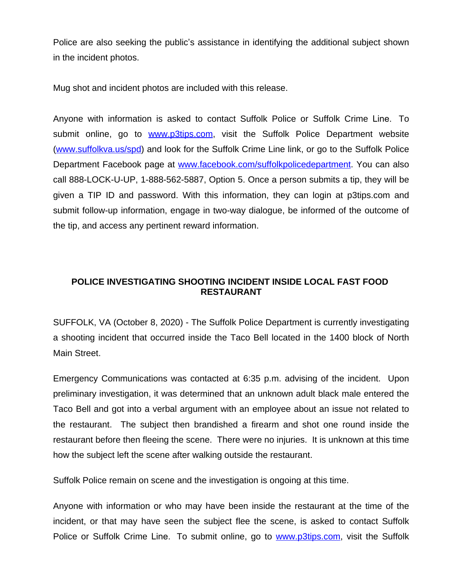Police are also seeking the public's assistance in identifying the additional subject shown in the incident photos.

Mug shot and incident photos are included with this release.

Anyone with information is asked to contact Suffolk Police or Suffolk Crime Line. To submit online, go to [www.p3tips.com](http://www.p3tips.com), visit the Suffolk Police Department website ([www.suffolkva.us/spd](http://www.suffolkva.us/spd)) and look for the Suffolk Crime Line link, or go to the Suffolk Police Department Facebook page at [www.facebook.com/suffolkpolicedepartment](http://www.facebook.com/suffolkpolicedepartment). You can also call 888-LOCK-U-UP, 1-888-562-5887, Option 5. Once a person submits a tip, they will be given a TIP ID and password. With this information, they can login at p3tips.com and submit follow-up information, engage in two-way dialogue, be informed of the outcome of the tip, and access any pertinent reward information.

#### **POLICE INVESTIGATING SHOOTING INCIDENT INSIDE LOCAL FAST FOOD RESTAURANT**

SUFFOLK, VA (October 8, 2020) - The Suffolk Police Department is currently investigating a shooting incident that occurred inside the Taco Bell located in the 1400 block of North Main Street.

Emergency Communications was contacted at 6:35 p.m. advising of the incident. Upon preliminary investigation, it was determined that an unknown adult black male entered the Taco Bell and got into a verbal argument with an employee about an issue not related to the restaurant. The subject then brandished a firearm and shot one round inside the restaurant before then fleeing the scene. There were no injuries. It is unknown at this time how the subject left the scene after walking outside the restaurant.

Suffolk Police remain on scene and the investigation is ongoing at this time.

Anyone with information or who may have been inside the restaurant at the time of the incident, or that may have seen the subject flee the scene, is asked to contact Suffolk Police or Suffolk Crime Line. To submit online, go to [www.p3tips.com](http://www.p3tips.com), visit the Suffolk